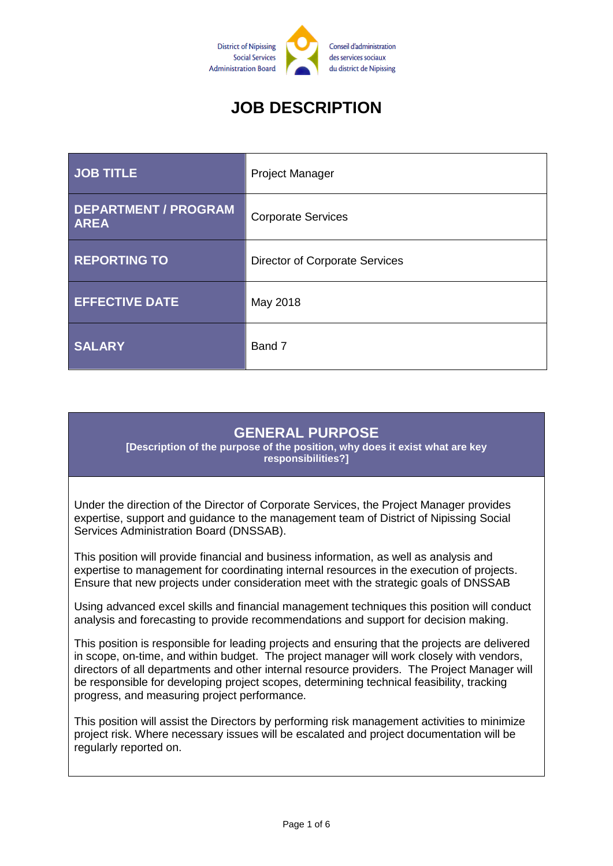

# **JOB DESCRIPTION**

| JOB TITLE                                  | <b>Project Manager</b>                |  |
|--------------------------------------------|---------------------------------------|--|
| <b>DEPARTMENT / PROGRAM</b><br><b>AREA</b> | <b>Corporate Services</b>             |  |
| <b>REPORTING TO</b>                        | <b>Director of Corporate Services</b> |  |
| <b>EFFECTIVE DATE</b>                      | May 2018                              |  |
| <b>SALARY</b>                              | Band 7                                |  |

#### **GENERAL PURPOSE**

**[Description of the purpose of the position, why does it exist what are key responsibilities?]**

Under the direction of the Director of Corporate Services, the Project Manager provides expertise, support and guidance to the management team of District of Nipissing Social Services Administration Board (DNSSAB).

This position will provide financial and business information, as well as analysis and expertise to management for coordinating internal resources in the execution of projects. Ensure that new projects under consideration meet with the strategic goals of DNSSAB

Using advanced excel skills and financial management techniques this position will conduct analysis and forecasting to provide recommendations and support for decision making.

This position is responsible for leading projects and ensuring that the projects are delivered in scope, on-time, and within budget. The project manager will work closely with vendors, directors of all departments and other internal resource providers. The Project Manager will be responsible for developing project scopes, determining technical feasibility, tracking progress, and measuring project performance.

This position will assist the Directors by performing risk management activities to minimize project risk. Where necessary issues will be escalated and project documentation will be regularly reported on.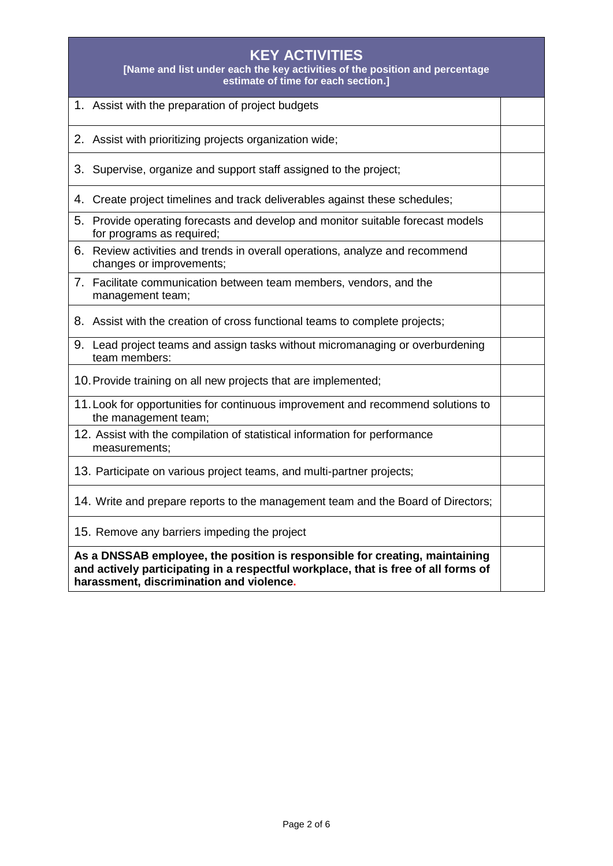# **KEY ACTIVITIES**

**[Name and list under each the key activities of the position and percentage estimate of time for each section.]**

| 1. Assist with the preparation of project budgets                                                                                                                                                             |  |  |
|---------------------------------------------------------------------------------------------------------------------------------------------------------------------------------------------------------------|--|--|
| 2. Assist with prioritizing projects organization wide;                                                                                                                                                       |  |  |
| 3. Supervise, organize and support staff assigned to the project;                                                                                                                                             |  |  |
| 4. Create project timelines and track deliverables against these schedules;                                                                                                                                   |  |  |
| 5. Provide operating forecasts and develop and monitor suitable forecast models<br>for programs as required;                                                                                                  |  |  |
| 6. Review activities and trends in overall operations, analyze and recommend<br>changes or improvements;                                                                                                      |  |  |
| 7. Facilitate communication between team members, vendors, and the<br>management team;                                                                                                                        |  |  |
| 8. Assist with the creation of cross functional teams to complete projects;                                                                                                                                   |  |  |
| 9. Lead project teams and assign tasks without micromanaging or overburdening<br>team members:                                                                                                                |  |  |
| 10. Provide training on all new projects that are implemented;                                                                                                                                                |  |  |
| 11. Look for opportunities for continuous improvement and recommend solutions to<br>the management team;                                                                                                      |  |  |
| 12. Assist with the compilation of statistical information for performance<br>measurements;                                                                                                                   |  |  |
| 13. Participate on various project teams, and multi-partner projects;                                                                                                                                         |  |  |
| 14. Write and prepare reports to the management team and the Board of Directors;                                                                                                                              |  |  |
| 15. Remove any barriers impeding the project                                                                                                                                                                  |  |  |
| As a DNSSAB employee, the position is responsible for creating, maintaining<br>and actively participating in a respectful workplace, that is free of all forms of<br>harassment, discrimination and violence. |  |  |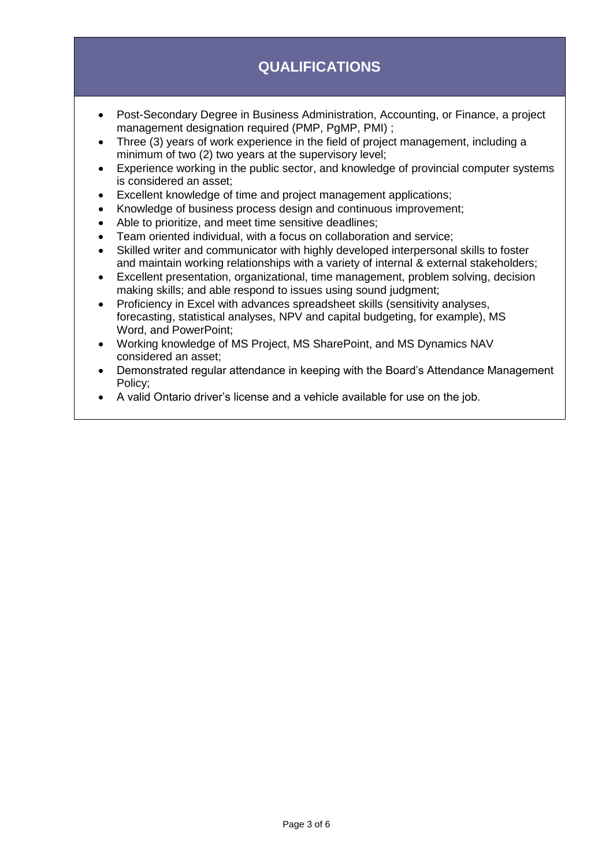# **QUALIFICATIONS**

- Post-Secondary Degree in Business Administration, Accounting, or Finance, a project management designation required (PMP, PgMP, PMI) ;
- Three (3) years of work experience in the field of project management, including a minimum of two (2) two years at the supervisory level;
- Experience working in the public sector, and knowledge of provincial computer systems is considered an asset;
- Excellent knowledge of time and project management applications;
- Knowledge of business process design and continuous improvement;
- Able to prioritize, and meet time sensitive deadlines;
- Team oriented individual, with a focus on collaboration and service;
- Skilled writer and communicator with highly developed interpersonal skills to foster and maintain working relationships with a variety of internal & external stakeholders;
- Excellent presentation, organizational, time management, problem solving, decision making skills; and able respond to issues using sound judgment;
- Proficiency in Excel with advances spreadsheet skills (sensitivity analyses, forecasting, statistical analyses, NPV and capital budgeting, for example), MS Word, and PowerPoint;
- Working knowledge of MS Project, MS SharePoint, and MS Dynamics NAV considered an asset;
- Demonstrated regular attendance in keeping with the Board's Attendance Management Policy;
- A valid Ontario driver's license and a vehicle available for use on the job.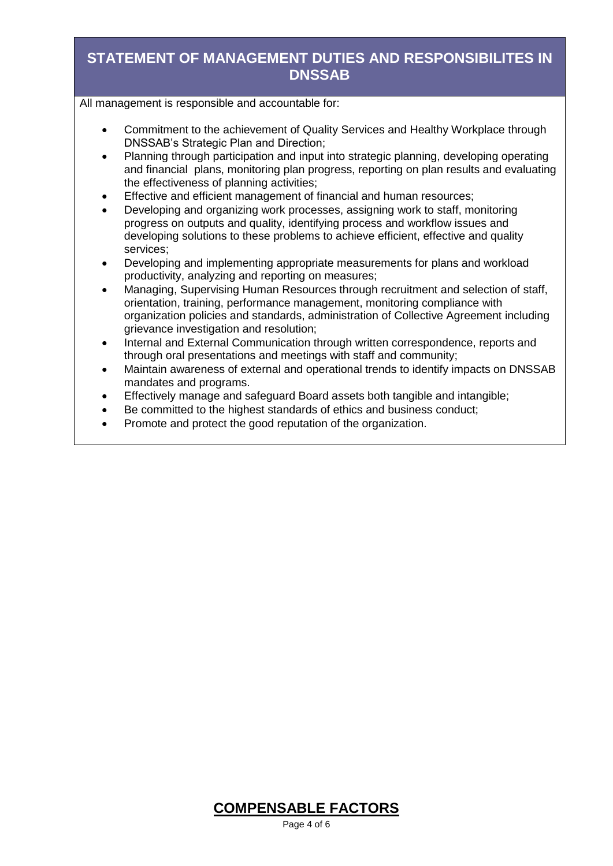#### **STATEMENT OF MANAGEMENT DUTIES AND RESPONSIBILITES IN DNSSAB**

All management is responsible and accountable for:

- Commitment to the achievement of Quality Services and Healthy Workplace through DNSSAB's Strategic Plan and Direction;
- Planning through participation and input into strategic planning, developing operating and financial plans, monitoring plan progress, reporting on plan results and evaluating the effectiveness of planning activities;
- Effective and efficient management of financial and human resources;
- Developing and organizing work processes, assigning work to staff, monitoring progress on outputs and quality, identifying process and workflow issues and developing solutions to these problems to achieve efficient, effective and quality services;
- Developing and implementing appropriate measurements for plans and workload productivity, analyzing and reporting on measures;
- Managing, Supervising Human Resources through recruitment and selection of staff, orientation, training, performance management, monitoring compliance with organization policies and standards, administration of Collective Agreement including grievance investigation and resolution;
- Internal and External Communication through written correspondence, reports and through oral presentations and meetings with staff and community;
- Maintain awareness of external and operational trends to identify impacts on DNSSAB mandates and programs.
- Effectively manage and safeguard Board assets both tangible and intangible;
- Be committed to the highest standards of ethics and business conduct;
- Promote and protect the good reputation of the organization.

### **COMPENSABLE FACTORS**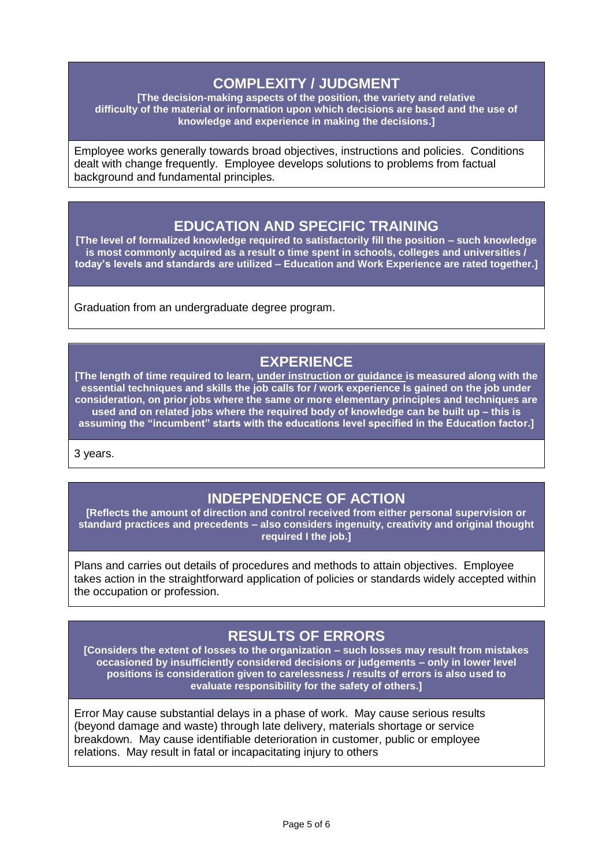### **COMPLEXITY / JUDGMENT**

**[The decision-making aspects of the position, the variety and relative difficulty of the material or information upon which decisions are based and the use of knowledge and experience in making the decisions.]**

Employee works generally towards broad objectives, instructions and policies. Conditions dealt with change frequently. Employee develops solutions to problems from factual background and fundamental principles.

#### **EDUCATION AND SPECIFIC TRAINING**

**[The level of formalized knowledge required to satisfactorily fill the position – such knowledge is most commonly acquired as a result o time spent in schools, colleges and universities / today's levels and standards are utilized – Education and Work Experience are rated together.]**

Graduation from an undergraduate degree program.

### **EXPERIENCE**

**[The length of time required to learn, under instruction or guidance is measured along with the essential techniques and skills the job calls for / work experience Is gained on the job under consideration, on prior jobs where the same or more elementary principles and techniques are used and on related jobs where the required body of knowledge can be built up – this is assuming the "incumbent" starts with the educations level specified in the Education factor.]**

3 years.

### **INDEPENDENCE OF ACTION**

**[Reflects the amount of direction and control received from either personal supervision or standard practices and precedents – also considers ingenuity, creativity and original thought required I the job.]**

Plans and carries out details of procedures and methods to attain objectives. Employee takes action in the straightforward application of policies or standards widely accepted within the occupation or profession.

### **RESULTS OF ERRORS**

**[Considers the extent of losses to the organization – such losses may result from mistakes occasioned by insufficiently considered decisions or judgements – only in lower level positions is consideration given to carelessness / results of errors is also used to evaluate responsibility for the safety of others.]**

Error May cause substantial delays in a phase of work. May cause serious results (beyond damage and waste) through late delivery, materials shortage or service breakdown. May cause identifiable deterioration in customer, public or employee relations. May result in fatal or incapacitating injury to others